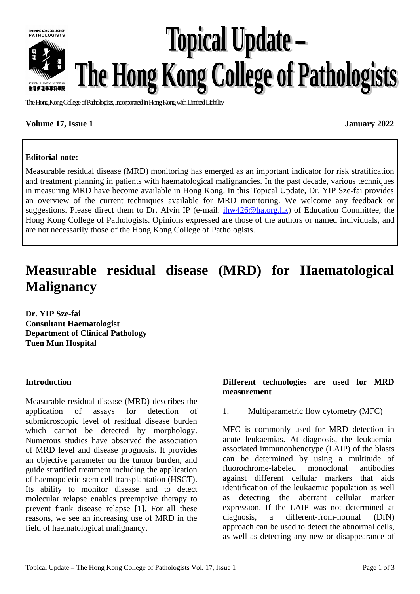

# **Topical Update –** The Hong Kong College of Pathologists

The Hong Kong College of Pathologists, Incorporated in Hong Kong with Limited Liability

## **Volume 17, Issue 1 January 2022**

## **Editorial note:**

Measurable residual disease (MRD) monitoring has emerged as an important indicator for risk stratification and treatment planning in patients with haematological malignancies. In the past decade, various techniques in measuring MRD have become available in Hong Kong. In this Topical Update, Dr. YIP Sze-fai provides an overview of the current techniques available for MRD monitoring. We welcome any feedback or suggestions. Please direct them to Dr. Alvin IP (e-mail:  $\frac{i\hbar w426(\omega)$ ha.org.hk) of Education Committee, the Hong Kong College of Pathologists. Opinions expressed are those of the authors or named individuals, and are not necessarily those of the Hong Kong College of Pathologists.

## **Measurable residual disease (MRD) for Haematological Malignancy**

**Dr. YIP Sze-fai Consultant Haematologist Department of Clinical Pathology Tuen Mun Hospital**

## **Introduction**

Measurable residual disease (MRD) describes the application of assays for detection of submicroscopic level of residual disease burden which cannot be detected by morphology. Numerous studies have observed the association of MRD level and disease prognosis. It provides an objective parameter on the tumor burden, and guide stratified treatment including the application of haemopoietic stem cell transplantation (HSCT). Its ability to monitor disease and to detect molecular relapse enables preemptive therapy to prevent frank disease relapse [1]. For all these reasons, we see an increasing use of MRD in the field of haematological malignancy.

## **Different technologies are used for MRD measurement**

1. Multiparametric flow cytometry (MFC)

MFC is commonly used for MRD detection in acute leukaemias. At diagnosis, the leukaemiaassociated immunophenotype (LAIP) of the blasts can be determined by using a multitude of fluorochrome-labeled monoclonal antibodies against different cellular markers that aids identification of the leukaemic population as well as detecting the aberrant cellular marker expression. If the LAIP was not determined at diagnosis, a different-from-normal (DfN) approach can be used to detect the abnormal cells, as well as detecting any new or disappearance of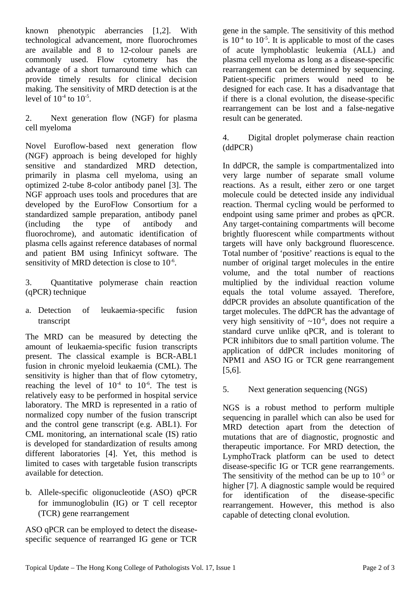known phenotypic aberrancies [1,2]. With technological advancement, more fluorochromes are available and 8 to 12-colour panels are commonly used. Flow cytometry has the advantage of a short turnaround time which can provide timely results for clinical decision making. The sensitivity of MRD detection is at the level of  $10^{-4}$  to  $10^{-5}$ .

2. Next generation flow (NGF) for plasma cell myeloma

Novel Euroflow-based next generation flow (NGF) approach is being developed for highly sensitive and standardized MRD detection, primarily in plasma cell myeloma, using an optimized 2-tube 8-color antibody panel [3]. The NGF approach uses tools and procedures that are developed by the EuroFlow Consortium for a standardized sample preparation, antibody panel (including the type of antibody and fluorochrome), and automatic identification of plasma cells against reference databases of normal and patient BM using Infinicyt software. The sensitivity of MRD detection is close to  $10^{-6}$ .

3. Quantitative polymerase chain reaction (qPCR) technique

a. Detection of leukaemia-specific fusion transcript

The MRD can be measured by detecting the amount of leukaemia-specific fusion transcripts present. The classical example is BCR-ABL1 fusion in chronic myeloid leukaemia (CML). The sensitivity is higher than that of flow cytometry, reaching the level of  $10^{-4}$  to  $10^{-6}$ . The test is relatively easy to be performed in hospital service laboratory. The MRD is represented in a ratio of normalized copy number of the fusion transcript and the control gene transcript (e.g. ABL1). For CML monitoring, an international scale (IS) ratio is developed for standardization of results among different laboratories [4]. Yet, this method is limited to cases with targetable fusion transcripts available for detection.

b. Allele-specific oligonucleotide (ASO) qPCR for immunoglobulin (IG) or T cell receptor (TCR) gene rearrangement

ASO qPCR can be employed to detect the diseasespecific sequence of rearranged IG gene or TCR gene in the sample. The sensitivity of this method is  $10^{-4}$  to  $10^{-5}$ . It is applicable to most of the cases of acute lymphoblastic leukemia (ALL) and plasma cell myeloma as long as a disease-specific rearrangement can be determined by sequencing. Patient-specific primers would need to be designed for each case. It has a disadvantage that if there is a clonal evolution, the disease-specific rearrangement can be lost and a false-negative result can be generated.

4. Digital droplet polymerase chain reaction (ddPCR)

In ddPCR, the sample is compartmentalized into very large number of separate small volume reactions. As a result, either zero or one target molecule could be detected inside any individual reaction. Thermal cycling would be performed to endpoint using same primer and probes as qPCR. Any target-containing compartments will become brightly fluorescent while compartments without targets will have only background fluorescence. Total number of 'positive' reactions is equal to the number of original target molecules in the entire volume, and the total number of reactions multiplied by the individual reaction volume equals the total volume assayed. Therefore, ddPCR provides an absolute quantification of the target molecules. The ddPCR has the advantage of very high sensitivity of  $\sim 10^{-6}$ , does not require a standard curve unlike qPCR, and is tolerant to PCR inhibitors due to small partition volume. The application of ddPCR includes monitoring of NPM1 and ASO IG or TCR gene rearrangement [5,6].

5. Next generation sequencing (NGS)

NGS is a robust method to perform multiple sequencing in parallel which can also be used for MRD detection apart from the detection of mutations that are of diagnostic, prognostic and therapeutic importance. For MRD detection, the LymphoTrack platform can be used to detect disease-specific IG or TCR gene rearrangements. The sensitivity of the method can be up to  $10^{-5}$  or higher [7]. A diagnostic sample would be required for identification of the disease-specific rearrangement. However, this method is also capable of detecting clonal evolution.